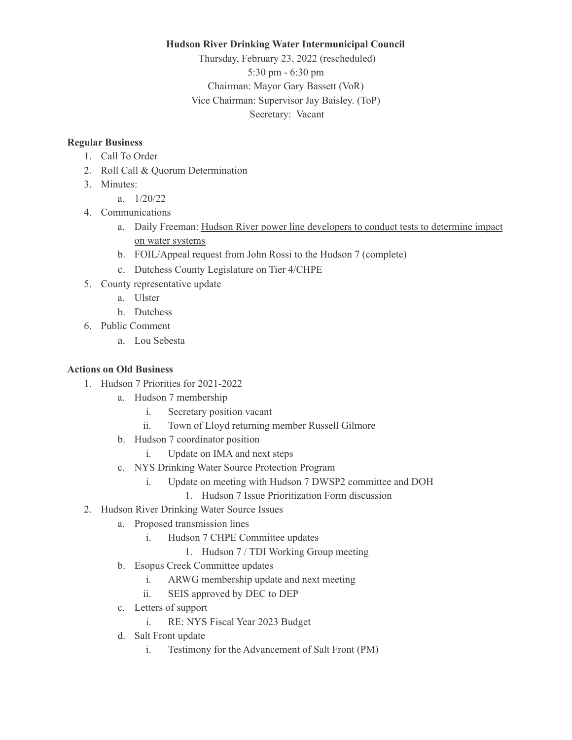#### **Hudson River Drinking Water Intermunicipal Council**

Thursday, February 23, 2022 (rescheduled) 5:30 pm - 6:30 pm Chairman: Mayor Gary Bassett (VoR) Vice Chairman: Supervisor Jay Baisley. (ToP) Secretary: Vacant

### **Regular Business**

- 1. Call To Order
- 2. Roll Call & Quorum Determination
- 3. Minutes:
- a. 1/20/22
- 4. Communications
	- a. Daily Freeman: Hudson River power line [developers](https://www.dailyfreeman.com/2022/01/25/hudson-river-power-line-developers-to-conduct-tests-to-determine-impact-on-water-systems/) to conduct tests to determine impact on water [systems](https://www.dailyfreeman.com/2022/01/25/hudson-river-power-line-developers-to-conduct-tests-to-determine-impact-on-water-systems/)
	- b. FOIL/Appeal request from John Rossi to the Hudson 7 (complete)
	- c. Dutchess County Legislature on Tier 4/CHPE
- 5. County representative update
	- a. Ulster
	- b. Dutchess
- 6. Public Comment
	- a. Lou Sebesta

## **Actions on Old Business**

- 1. Hudson 7 Priorities for 2021-2022
	- a. Hudson 7 membership
		- i. Secretary position vacant
		- ii. Town of Lloyd returning member Russell Gilmore
	- b. Hudson 7 coordinator position
		- i. Update on IMA and next steps
	- c. NYS Drinking Water Source Protection Program
		- i. Update on meeting with Hudson 7 DWSP2 committee and DOH
			- 1. Hudson 7 Issue Prioritization Form discussion
- 2. Hudson River Drinking Water Source Issues
	- a. Proposed transmission lines
		- i. Hudson 7 CHPE Committee updates
			- 1. Hudson 7 / TDI Working Group meeting
	- b. Esopus Creek Committee updates
		- i. ARWG membership update and next meeting
		- ii. SEIS approved by DEC to DEP
	- c. Letters of support
		- i. RE: NYS Fiscal Year 2023 Budget
	- d. Salt Front update
		- i. Testimony for the Advancement of Salt Front (PM)